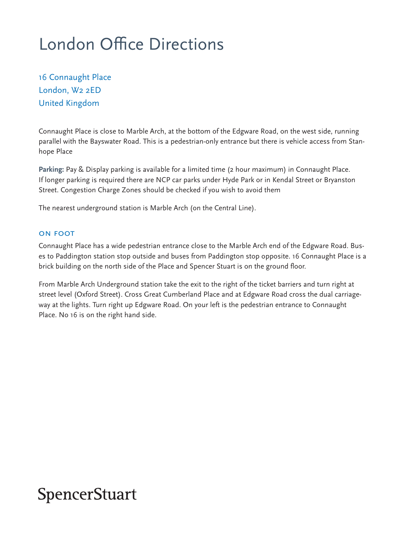# London Office Directions

16 Connaught Place London, W2 2ED United Kingdom

Connaught Place is close to Marble Arch, at the bottom of the Edgware Road, on the west side, running parallel with the Bayswater Road. This is a pedestrian-only entrance but there is vehicle access from Stanhope Place

**Parking:** Pay & Display parking is available for a limited time (2 hour maximum) in Connaught Place. If longer parking is required there are NCP car parks under Hyde Park or in Kendal Street or Bryanston Street. Congestion Charge Zones should be checked if you wish to avoid them

The nearest underground station is Marble Arch (on the Central Line).

### ON FOOT

Connaught Place has a wide pedestrian entrance close to the Marble Arch end of the Edgware Road. Buses to Paddington station stop outside and buses from Paddington stop opposite. 16 Connaught Place is a brick building on the north side of the Place and Spencer Stuart is on the ground floor.

From Marble Arch Underground station take the exit to the right of the ticket barriers and turn right at street level (Oxford Street). Cross Great Cumberland Place and at Edgware Road cross the dual carriageway at the lights. Turn right up Edgware Road. On your left is the pedestrian entrance to Connaught Place. No 16 is on the right hand side.

### **SpencerStuart**